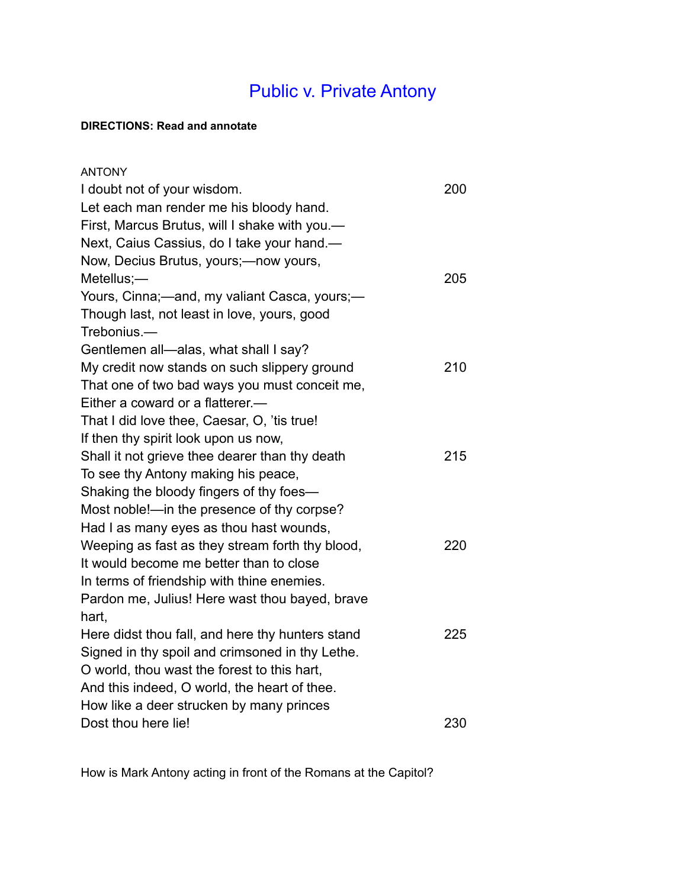## Public v. Private Antony

## **DIRECTIONS: Read and annotate**

| <b>ANTONY</b>                                    |     |
|--------------------------------------------------|-----|
| I doubt not of your wisdom.                      | 200 |
| Let each man render me his bloody hand.          |     |
| First, Marcus Brutus, will I shake with you.-    |     |
| Next, Caius Cassius, do I take your hand.-       |     |
| Now, Decius Brutus, yours;-now yours,            |     |
| Metellus;-                                       | 205 |
| Yours, Cinna;-and, my valiant Casca, yours;-     |     |
| Though last, not least in love, yours, good      |     |
| Trebonius.-                                      |     |
| Gentlemen all-alas, what shall I say?            |     |
| My credit now stands on such slippery ground     | 210 |
| That one of two bad ways you must conceit me,    |     |
| Either a coward or a flatterer.—                 |     |
| That I did love thee, Caesar, O, 'tis true!      |     |
| If then thy spirit look upon us now,             |     |
| Shall it not grieve thee dearer than thy death   | 215 |
| To see thy Antony making his peace,              |     |
| Shaking the bloody fingers of thy foes-          |     |
| Most noble!-- in the presence of thy corpse?     |     |
| Had I as many eyes as thou hast wounds,          |     |
| Weeping as fast as they stream forth thy blood,  | 220 |
| It would become me better than to close          |     |
| In terms of friendship with thine enemies.       |     |
| Pardon me, Julius! Here wast thou bayed, brave   |     |
| hart,                                            |     |
| Here didst thou fall, and here thy hunters stand | 225 |
| Signed in thy spoil and crimsoned in thy Lethe.  |     |
| O world, thou wast the forest to this hart,      |     |
| And this indeed, O world, the heart of thee.     |     |
| How like a deer strucken by many princes         |     |
| Dost thou here lie!                              | 230 |

How is Mark Antony acting in front of the Romans at the Capitol?